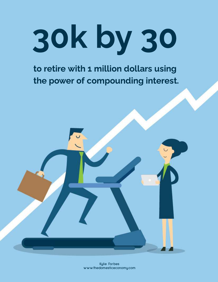# 30k by 30

to retire with 1 million dollars using the power of compounding interest.

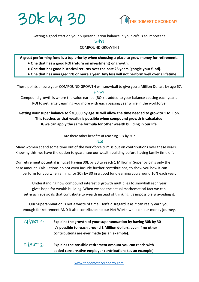



Getting a good start on your Superannuation balance in your 20's is so important.

 $W + Y$ ?

COMPOUND GROWTH !

**A great performing fund is a top priority when choosing a place to grow money for retirement. ● One that has a good ROI (return on investment) or growth.**

- **● One that has good historical returns over the past 25 years (google your fund).**
- **● One that has averaged 9% or more a year. Any less will not perform well over a lifetime.**

These points ensure your COMPOUND GROWTH will snowball to give you a Million Dollars by age 67. HOW?

Compound growth is where the value earned (ROI) is added to your balance causing each year's ROI to get larger, earning you more with each passing year while in the workforce.

#### **Getting your super balance to \$30,000 by age 30 will allow the time needed to grow to 1 Million. This teaches us that wealth is possible when compound growth is calculated & we can apply the same formula for other wealth building in our life.**

Are there other benefits of reaching 30k by 30?

#### YES!

Many women spend some time out of the workforce & miss out on contributions over these years. Knowing this, we have the option to guarantee our wealth building before having family time off.

Our retirement potential is huge! Having 30k by 30 to reach 1 Million in Super by 67 is only the base amount. Calculations do not even include further contributions, to show you how it can perform for you when aiming for 30k by 30 in a good fund earning you around 10% each year.

Understanding how compound interest & growth multiplies to snowball each year gives hope for wealth building. When we see the actual mathematical fact we can set & achieve goals that contribute to wealth instead of thinking it's impossible & avoiding it.

Our Superannuation is not a waste of time. Don't disregard It as it can really earn you enough for retirement AND it also contributes to our Net Worth while on our money journey.

| CHART 1:   | Explains the growth of your superannuation by having 30k by 30<br>it's possible to reach around 1 Million dollars, even if no other<br>contributions are ever made (as an example). |
|------------|-------------------------------------------------------------------------------------------------------------------------------------------------------------------------------------|
| $CHART$ 2: | Explains the possible retirement amount you can reach with<br>added conservative employer contributions (as an example).                                                            |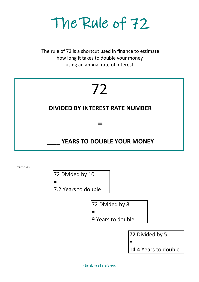The Rule of 72

using an annual rate of interest. how long it takes to double your money The rule of 72 is a shortcut used in finance to estimate

# 72

#### **DIVIDED BY INTEREST RATE NUMBER**

 $\equiv$ 

#### **\_\_\_\_ YEARS TO DOUBLE YOUR MONEY**

Examples:

72 Divided by 10 = 7.2 Years to double

72 Divided by 8

9 Years to double

72 Divided by 5

=

14.4 Years to double

=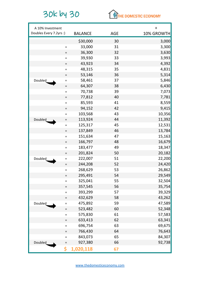## 30k by 30



| A 10% Investment        |          |                |            | $\ddot{}$  |
|-------------------------|----------|----------------|------------|------------|
| Doubles Every 7.2yrs :) |          | <b>BALANCE</b> | <b>AGE</b> | 10% GROWTH |
|                         |          | \$30,000       | 30         | 3,000      |
|                         | $\equiv$ | 33,000         | 31         | 3,300      |
|                         | $=$      | 36,300         | 32         | 3,630      |
|                         | $\equiv$ | 39,930         | 33         | 3,993      |
|                         | $\equiv$ | 43,923         | 34         | 4,392      |
|                         | $\equiv$ | 48,315         | 35         | 4,831      |
|                         | $\equiv$ | 53,146         | 36         | 5,314      |
| Doubled                 | $=$      | 58,461         | 37         | 5,846      |
|                         | $=$      | 64,307         | 38         | 6,430      |
|                         | $=$      | 70,738         | 39         | 7,073      |
|                         | $=$      | 77,812         | 40         | 7,781      |
|                         | $\equiv$ | 85,593         | 41         | 8,559      |
|                         | $=$      | 94,152         | 42         | 9,415      |
|                         | $\equiv$ | 103,568        | 43         | 10,356     |
| Doubled                 | $\equiv$ | 113,924        | 44         | 11,392     |
|                         | $=$      | 125,317        | 45         | 12,531     |
|                         | $\equiv$ | 137,849        | 46         | 13,784     |
|                         | $=$      | 151,634        | 47         | 15,163     |
|                         | $=$      | 166,797        | 48         | 16,679     |
|                         | $\equiv$ | 183,477        | 49         | 18,347     |
|                         | $=$      | 201,824        | 50         | 20,182     |
| Doubled                 | $\equiv$ | 222,007        | 51         | 22,200     |
|                         | $=$      | 244,208        | 52         | 24,420     |
|                         | $=$      | 268,629        | 53         | 26,862     |
|                         | $\equiv$ | 295,491        | 54         | 29,549     |
|                         | $=$      | 325,041        | 55         | 32,504     |
|                         | $=$      | 357,545        | 56         | 35,754     |
|                         | $=$      | 393,299        | 57         | 39,329     |
|                         | $\equiv$ | 432,629        | 58         | 43,262     |
| Doubled                 | $\equiv$ | 475,892        | 59         | 47,589     |
|                         | $=$      | 523,482        | 60         | 52,348     |
|                         | $\equiv$ | 575,830        | 61         | 57,583     |
|                         | $\equiv$ | 633,413        | 62         | 63,341     |
|                         | $\equiv$ | 696,754        | 63         | 69,675     |
|                         | $=$      | 766,430        | 64         | 76,643     |
|                         | $\equiv$ | 843,073        | 65         | 84,307     |
| <b>Doubled</b>          | $\equiv$ | 927,380        | 66         | 92,738     |
|                         | \$       | 1,020,118      | 67         |            |

[w](http://www.thedomesticeconomy.com/)ww.thedomesticeconomy.com